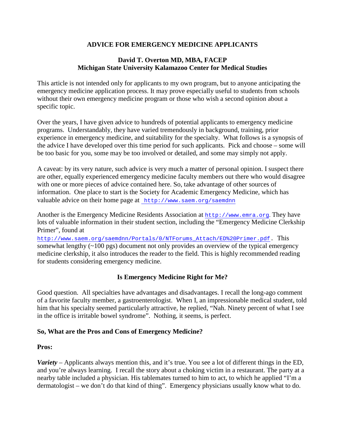#### **ADVICE FOR EMERGENCY MEDICINE APPLICANTS**

#### **David T. Overton MD, MBA, FACEP Michigan State University Kalamazoo Center for Medical Studies**

This article is not intended only for applicants to my own program, but to anyone anticipating the emergency medicine application process. It may prove especially useful to students from schools without their own emergency medicine program or those who wish a second opinion about a specific topic.

Over the years, I have given advice to hundreds of potential applicants to emergency medicine programs. Understandably, they have varied tremendously in background, training, prior experience in emergency medicine, and suitability for the specialty. What follows is a synopsis of the advice I have developed over this time period for such applicants. Pick and choose – some will be too basic for you, some may be too involved or detailed, and some may simply not apply.

A caveat: by its very nature, such advice is very much a matter of personal opinion. I suspect there are other, equally experienced emergency medicine faculty members out there who would disagree with one or more pieces of advice contained here. So, take advantage of other sources of information. One place to start is the Society for Academic Emergency Medicine, which has valuable advice on their home page at <http://www.saem.org/saemdnn>

Another is the Emergency Medicine Residents Association at [http://www.emra.org](http://www.emra.org/). They have lots of valuable information in their student section, including the "Emergency Medicine Clerkship Primer", found at

[http://www.saem.org/saemdnn/Portals/0/NTForums\\_Attach/ED%20Primer.pdf.](http://www.saem.org/saemdnn/Portals/0/NTForums_Attach/ED%20Primer.pdf) This somewhat lengthy (~100 pgs) document not only provides an overview of the typical emergency medicine clerkship, it also introduces the reader to the field. This is highly recommended reading for students considering emergency medicine.

## **Is Emergency Medicine Right for Me?**

Good question. All specialties have advantages and disadvantages. I recall the long-ago comment of a favorite faculty member, a gastroenterologist. When I, an impressionable medical student, told him that his specialty seemed particularly attractive, he replied, "Nah. Ninety percent of what I see in the office is irritable bowel syndrome". Nothing, it seems, is perfect.

#### **So, What are the Pros and Cons of Emergency Medicine?**

#### **Pros:**

*Variety* – Applicants always mention this, and it's true. You see a lot of different things in the ED, and you're always learning. I recall the story about a choking victim in a restaurant. The party at a nearby table included a physician. His tablemates turned to him to act, to which he applied "I'm a dermatologist – we don't do that kind of thing". Emergency physicians usually know what to do.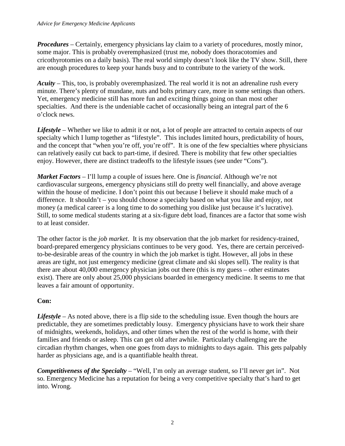*Procedures* – Certainly, emergency physicians lay claim to a variety of procedures, mostly minor, some major. This is probably overemphasized (trust me, nobody does thoracotomies and cricothyrotomies on a daily basis). The real world simply doesn't look like the TV show. Still, there are enough procedures to keep your hands busy and to contribute to the variety of the work.

*Acuity* – This, too, is probably overemphasized. The real world it is not an adrenaline rush every minute. There's plenty of mundane, nuts and bolts primary care, more in some settings than others. Yet, emergency medicine still has more fun and exciting things going on than most other specialties. And there is the undeniable cachet of occasionally being an integral part of the 6 o'clock news.

*Lifestyle* – Whether we like to admit it or not, a lot of people are attracted to certain aspects of our specialty which I lump together as "lifestyle". This includes limited hours, predictability of hours, and the concept that "when you're off, you're off". It is one of the few specialties where physicians can relatively easily cut back to part-time, if desired. There is mobility that few other specialties enjoy. However, there are distinct tradeoffs to the lifestyle issues (see under "Cons").

*Market Factors* – I'll lump a couple of issues here. One is *financial*. Although we're not cardiovascular surgeons, emergency physicians still do pretty well financially, and above average within the house of medicine. I don't point this out because I believe it should make much of a difference. It shouldn't – you should choose a specialty based on what you like and enjoy, not money (a medical career is a long time to do something you dislike just because it's lucrative). Still, to some medical students staring at a six-figure debt load, finances are a factor that some wish to at least consider.

The other factor is the *job market*. It is my observation that the job market for residency-trained, board-prepared emergency physicians continues to be very good. Yes, there are certain perceivedto-be-desirable areas of the country in which the job market is tight. However, all jobs in these areas are tight, not just emergency medicine (great climate and ski slopes sell). The reality is that there are about 40,000 emergency physician jobs out there (this is my guess – other estimates exist). There are only about 25,000 physicians boarded in emergency medicine. It seems to me that leaves a fair amount of opportunity.

## **Con:**

*Lifestyle* – As noted above, there is a flip side to the scheduling issue. Even though the hours are predictable, they are sometimes predictably lousy. Emergency physicians have to work their share of midnights, weekends, holidays, and other times when the rest of the world is home, with their families and friends or asleep. This can get old after awhile. Particularly challenging are the circadian rhythm changes, when one goes from days to midnights to days again. This gets palpably harder as physicians age, and is a quantifiable health threat.

*Competitiveness of the Specialty* – "Well, I'm only an average student, so I'll never get in". Not so. Emergency Medicine has a reputation for being a very competitive specialty that's hard to get into. Wrong.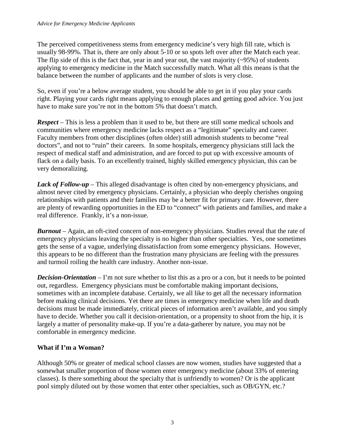The perceived competitiveness stems from emergency medicine's very high fill rate, which is usually 98-99%. That is, there are only about 5-10 or so spots left over after the Match each year. The flip side of this is the fact that, year in and year out, the vast majority  $(-95%)$  of students applying to emergency medicine in the Match successfully match. What all this means is that the balance between the number of applicants and the number of slots is very close.

So, even if you're a below average student, you should be able to get in if you play your cards right. Playing your cards right means applying to enough places and getting good advice. You just have to make sure you're not in the bottom 5% that doesn't match.

*Respect* – This is less a problem than it used to be, but there are still some medical schools and communities where emergency medicine lacks respect as a "legitimate" specialty and career. Faculty members from other disciplines (often older) still admonish students to become "real doctors", and not to "ruin" their careers. In some hospitals, emergency physicians still lack the respect of medical staff and administration, and are forced to put up with excessive amounts of flack on a daily basis. To an excellently trained, highly skilled emergency physician, this can be very demoralizing.

*Lack of Follow-up* – This alleged disadvantage is often cited by non-emergency physicians, and almost never cited by emergency physicians. Certainly, a physician who deeply cherishes ongoing relationships with patients and their families may be a better fit for primary care. However, there are plenty of rewarding opportunities in the ED to "connect" with patients and families, and make a real difference. Frankly, it's a non-issue.

*Burnout* – Again, an oft-cited concern of non-emergency physicians. Studies reveal that the rate of emergency physicians leaving the specialty is no higher than other specialties. Yes, one sometimes gets the sense of a vague, underlying dissatisfaction from some emergency physicians. However, this appears to be no different than the frustration many physicians are feeling with the pressures and turmoil roiling the health care industry. Another non-issue.

*Decision-Orientation* – I'm not sure whether to list this as a pro or a con, but it needs to be pointed out, regardless. Emergency physicians must be comfortable making important decisions, sometimes with an incomplete database. Certainly, we all like to get all the necessary information before making clinical decisions. Yet there are times in emergency medicine when life and death decisions must be made immediately, critical pieces of information aren't available, and you simply have to decide. Whether you call it decision-orientation, or a propensity to shoot from the hip, it is largely a matter of personality make-up. If you're a data-gatherer by nature, you may not be comfortable in emergency medicine.

## **What if I'm a Woman?**

Although 50% or greater of medical school classes are now women, studies have suggested that a somewhat smaller proportion of those women enter emergency medicine (about 33% of entering classes). Is there something about the specialty that is unfriendly to women? Or is the applicant pool simply diluted out by those women that enter other specialties, such as OB/GYN, etc.?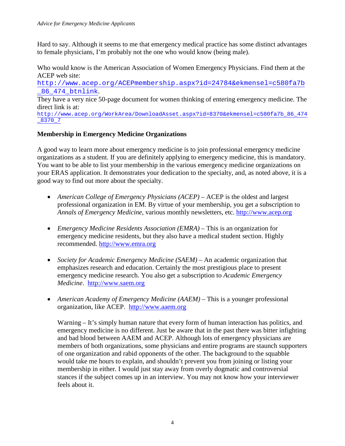Hard to say. Although it seems to me that emergency medical practice has some distinct advantages to female physicians, I'm probably not the one who would know (being male).

Who would know is the American Association of Women Emergency Physicians. Find them at the ACEP web site:

[http://www.acep.org/ACEPmembership.aspx?id=24784&ekmensel=c580fa7b](http://www.acep.org/ACEPmembership.aspx?id=24784&ekmensel=c580fa7b_86_474_btnlink) [\\_86\\_474\\_btnlink](http://www.acep.org/ACEPmembership.aspx?id=24784&ekmensel=c580fa7b_86_474_btnlink).

They have a very nice 50-page document for women thinking of entering emergency medicine. The direct link is at:

[http://www.acep.org/WorkArea/DownloadAsset.aspx?id=8370&ekmensel=c580fa7b\\_86\\_474](http://www.acep.org/WorkArea/DownloadAsset.aspx?id=8370&ekmensel=c580fa7b_86_474_8370_7) [\\_8370\\_7](http://www.acep.org/WorkArea/DownloadAsset.aspx?id=8370&ekmensel=c580fa7b_86_474_8370_7)

#### **Membership in Emergency Medicine Organizations**

A good way to learn more about emergency medicine is to join professional emergency medicine organizations as a student. If you are definitely applying to emergency medicine, this is mandatory. You want to be able to list your membership in the various emergency medicine organizations on your ERAS application. It demonstrates your dedication to the specialty, and, as noted above, it is a good way to find out more about the specialty.

- *American College of Emergency Physicians (ACEP)* ACEP is the oldest and largest professional organization in EM. By virtue of your membership, you get a subscription to *Annals of Emergency Medicine*, various monthly newsletters, etc. [http://www.acep.org](http://www.acep.org/)
- *Emergency Medicine Residents Association (EMRA)* This is an organization for emergency medicine residents, but they also have a medical student section. Highly recommended. [http://www.emra.org](http://www.emra.org/)
- *Society for Academic Emergency Medicine (SAEM)* An academic organization that emphasizes research and education. Certainly the most prestigious place to present emergency medicine research. You also get a subscription to *Academic Emergency Medicine*. [http://www.saem.org](http://www.saem.org/)
- *American Academy of Emergency Medicine (AAEM)* This is a younger professional organization, like ACEP. [http://www.aaem.org](http://www.aaem.org/)

Warning – It's simply human nature that every form of human interaction has politics, and emergency medicine is no different. Just be aware that in the past there was bitter infighting and bad blood between AAEM and ACEP. Although lots of emergency physicians are members of both organizations, some physicians and entire programs are staunch supporters of one organization and rabid opponents of the other. The background to the squabble would take me hours to explain, and shouldn't prevent you from joining or listing your membership in either. I would just stay away from overly dogmatic and controversial stances if the subject comes up in an interview. You may not know how your interviewer feels about it.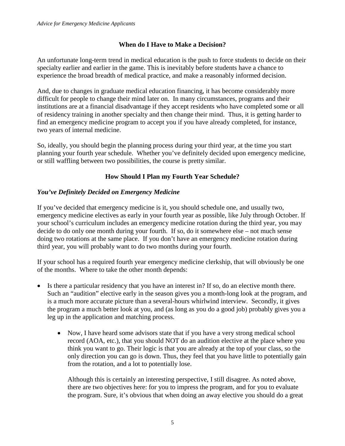#### **When do I Have to Make a Decision?**

An unfortunate long-term trend in medical education is the push to force students to decide on their specialty earlier and earlier in the game. This is inevitably before students have a chance to experience the broad breadth of medical practice, and make a reasonably informed decision.

And, due to changes in graduate medical education financing, it has become considerably more difficult for people to change their mind later on. In many circumstances, programs and their institutions are at a financial disadvantage if they accept residents who have completed some or all of residency training in another specialty and then change their mind. Thus, it is getting harder to find an emergency medicine program to accept you if you have already completed, for instance, two years of internal medicine.

So, ideally, you should begin the planning process during your third year, at the time you start planning your fourth year schedule. Whether you've definitely decided upon emergency medicine, or still waffling between two possibilities, the course is pretty similar.

## **How Should I Plan my Fourth Year Schedule?**

## *You've Definitely Decided on Emergency Medicine*

If you've decided that emergency medicine is it, you should schedule one, and usually two, emergency medicine electives as early in your fourth year as possible, like July through October. If your school's curriculum includes an emergency medicine rotation during the third year, you may decide to do only one month during your fourth. If so, do it somewhere else – not much sense doing two rotations at the same place. If you don't have an emergency medicine rotation during third year, you will probably want to do two months during your fourth.

If your school has a required fourth year emergency medicine clerkship, that will obviously be one of the months. Where to take the other month depends:

- Is there a particular residency that you have an interest in? If so, do an elective month there. Such an "audition" elective early in the season gives you a month-long look at the program, and is a much more accurate picture than a several-hours whirlwind interview. Secondly, it gives the program a much better look at you, and (as long as you do a good job) probably gives you a leg up in the application and matching process.
	- Now, I have heard some advisors state that if you have a very strong medical school record (AOA, etc.), that you should NOT do an audition elective at the place where you think you want to go. Their logic is that you are already at the top of your class, so the only direction you can go is down. Thus, they feel that you have little to potentially gain from the rotation, and a lot to potentially lose.

Although this is certainly an interesting perspective, I still disagree. As noted above, there are two objectives here: for you to impress the program, and for you to evaluate the program. Sure, it's obvious that when doing an away elective you should do a great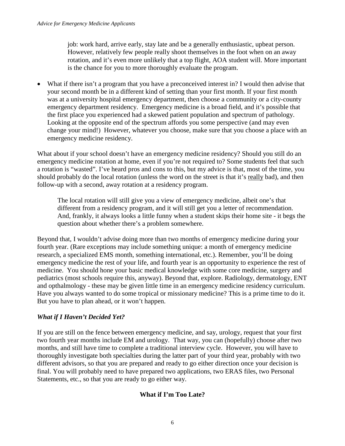job: work hard, arrive early, stay late and be a generally enthusiastic, upbeat person. However, relatively few people really shoot themselves in the foot when on an away rotation, and it's even more unlikely that a top flight, AOA student will. More important is the chance for you to more thoroughly evaluate the program.

• What if there isn't a program that you have a preconceived interest in? I would then advise that your second month be in a different kind of setting than your first month. If your first month was at a university hospital emergency department, then choose a community or a city-county emergency department residency. Emergency medicine is a broad field, and it's possible that the first place you experienced had a skewed patient population and spectrum of pathology. Looking at the opposite end of the spectrum affords you some perspective (and may even change your mind!) However, whatever you choose, make sure that you choose a place with an emergency medicine residency.

What about if your school doesn't have an emergency medicine residency? Should you still do an emergency medicine rotation at home, even if you're not required to? Some students feel that such a rotation is "wasted". I've heard pros and cons to this, but my advice is that, most of the time, you should probably do the local rotation (unless the word on the street is that it's really bad), and then follow-up with a second, away rotation at a residency program.

The local rotation will still give you a view of emergency medicine, albeit one's that different from a residency program, and it will still get you a letter of recommendation. And, frankly, it always looks a little funny when a student skips their home site - it begs the question about whether there's a problem somewhere.

Beyond that, I wouldn't advise doing more than two months of emergency medicine during your fourth year. (Rare exceptions may include something unique: a month of emergency medicine research, a specialized EMS month, something international, etc.). Remember, you'll be doing emergency medicine the rest of your life, and fourth year is an opportunity to experience the rest of medicine. You should hone your basic medical knowledge with some core medicine, surgery and pediatrics (most schools require this, anyway). Beyond that, explore. Radiology, dermatology, ENT and opthalmology - these may be given little time in an emergency medicine residency curriculum. Have you always wanted to do some tropical or missionary medicine? This is a prime time to do it. But you have to plan ahead, or it won't happen.

## *What if I Haven't Decided Yet?*

If you are still on the fence between emergency medicine, and say, urology, request that your first two fourth year months include EM and urology. That way, you can (hopefully) choose after two months, and still have time to complete a traditional interview cycle. However, you will have to thoroughly investigate both specialties during the latter part of your third year, probably with two different advisors, so that you are prepared and ready to go either direction once your decision is final. You will probably need to have prepared two applications, two ERAS files, two Personal Statements, etc., so that you are ready to go either way.

## **What if I'm Too Late?**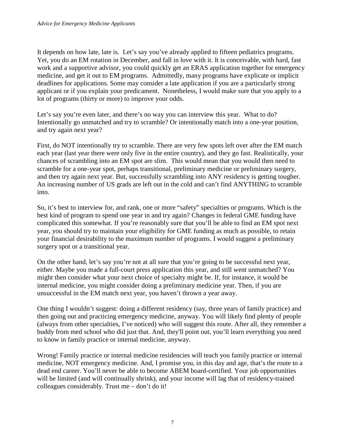It depends on how late, late is. Let's say you've already applied to fifteen pediatrics programs. Yet, you do an EM rotation in December, and fall in love with it. It is conceivable, with hard, fast work and a supportive advisor, you could quickly get an ERAS application together for emergency medicine, and get it out to EM programs. Admittedly, many programs have explicate or implicit deadlines for applications. Some may consider a late application if you are a particularly strong applicant or if you explain your predicament. Nonetheless, I would make sure that you apply to a lot of programs (thirty or more) to improve your odds.

Let's say you're even later, and there's no way you can interview this year. What to do? Intentionally go unmatched and try to scramble? Or intentionally match into a one-year position, and try again next year?

First, do NOT intentionally try to scramble. There are very few spots left over after the EM match each year (last year there were only five in the entire country), and they go fast. Realistically, your chances of scrambling into an EM spot are slim. This would mean that you would then need to scramble for a one-year spot, perhaps transitional, preliminary medicine or preliminary surgery, and then try again next year. But, successfully scrambling into ANY residency is getting tougher. An increasing number of US grads are left out in the cold and can't find ANYTHING to scramble into.

So, it's best to interview for, and rank, one or more "safety" specialties or programs. Which is the best kind of program to spend one year in and try again? Changes in federal GME funding have complicated this somewhat. If you're reasonably sure that you'll be able to find an EM spot next year, you should try to maintain your eligibility for GME funding as much as possible, to retain your financial desirability to the maximum number of programs. I would suggest a preliminary surgery spot or a transitional year.

On the other hand, let's say you're not at all sure that you're going to be successful next year, either. Maybe you made a full-court press application this year, and still went unmatched? You might then consider what your next choice of specialty might be. If, for instance, it would be internal medicine, you might consider doing a preliminary medicine year. Then, if you are unsuccessful in the EM match next year, you haven't thrown a year away.

One thing I wouldn't suggest: doing a different residency (say, three years of family practice) and then going out and practicing emergency medicine, anyway. You will likely find plenty of people (always from other specialties, I've noticed) who will suggest this route. After all, they remember a buddy from med school who did just that. And, they'll point out, you'll learn everything you need to know in family practice or internal medicine, anyway.

Wrong! Family practice or internal medicine residencies will teach you family practice or internal medicine, NOT emergency medicine. And, I promise you, in this day and age, that's the route to a dead end career. You'll never be able to become ABEM board-certified. Your job opportunities will be limited (and will continually shrink), and your income will lag that of residency-trained colleagues considerably. Trust me – don't do it!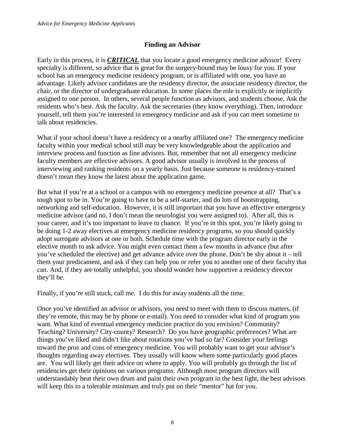#### **Finding an Advisor**

Early in this process, it is *CRITICAL* that you locate a good emergency medicine advisor! Every specialty is different, so advice that is great for the surgery-bound may be lousy for you. If your school has an emergency medicine residency program, or is affiliated with one, you have an advantage. Likely advisor candidates are the residency director, the associate residency director, the chair, or the director of undergraduate education. In some places the role is explicitly or implicitly assigned to one person. In others, several people function as advisors, and students choose. Ask the residents who's best. Ask the faculty. Ask the secretaries (they know everything). Then, introduce yourself, tell them you're interested in emergency medicine and ask if you can meet sometime to talk about residencies.

What if your school doesn't have a residency or a nearby affiliated one? The emergency medicine faculty within your medical school still may be very knowledgeable about the application and interview process and function as fine advisors. But, remember that not all emergency medicine faculty members are effective advisors. A good advisor usually is involved in the process of interviewing and ranking residents on a yearly basis. Just because someone is residency-trained doesn't mean they know the latest about the application game.

But what if you're at a school or a campus with no emergency medicine presence at all? That's a tough spot to be in. You're going to have to be a self-starter, and do lots of bootstrapping, networking and self-education. However, it is still important that you have an effective emergency medicine advisor (and no, I don't mean the neurologist you were assigned to). After all, this is your career, and it's too important to leave to chance. If you're in this spot, you're likely going to be doing 1-2 away electives at emergency medicine residency programs, so you should quickly adopt surrogate advisors at one or both. Schedule time with the program director early in the elective month to ask advice. You might even contact them a few months in advance (but after you've scheduled the elective) and get advance advice over the phone. Don't be shy about it – tell them your predicament, and ask if they can help you or refer you to another one of their faculty that can. And, if they are totally unhelpful, you should wonder how supportive a residency director they'll be.

Finally, if you're still stuck, call me. I do this for away students all the time.

Once you've identified an advisor or advisors, you need to meet with them to discuss matters, (if they're remote, this may be by phone or e-mail). You need to consider what kind of program you want. What kind of eventual emergency medicine practice do you envision? Community? Teaching? University? City-county? Research? Do you have geographic preferences? What are things you've liked and didn't like about rotations you've had so far? Consider your feelings toward the pros and cons of emergency medicine. You will probably want to get your advisor's thoughts regarding away electives. They usually will know where some particularly good places are. You will likely get their advice on where to apply. You will probably go through the list of residencies get their opinions on various programs. Although most program directors will understandably beat their own drum and paint their own program in the best light, the best advisors will keep this to a tolerable minimum and truly put on their "mentor" hat for you.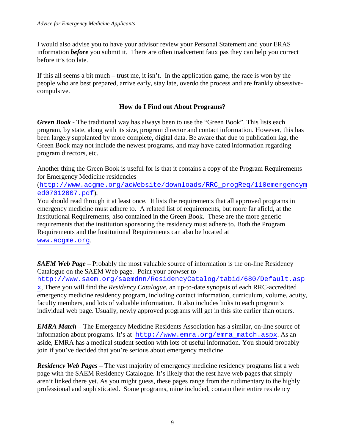I would also advise you to have your advisor review your Personal Statement and your ERAS information *before* you submit it. There are often inadvertent faux pas they can help you correct before it's too late.

If this all seems a bit much – trust me, it isn't. In the application game, the race is won by the people who are best prepared, arrive early, stay late, overdo the process and are frankly obsessivecompulsive.

#### **How do I Find out About Programs?**

*Green Book* - The traditional way has always been to use the "Green Book". This lists each program, by state, along with its size, program director and contact information. However, this has been largely supplanted by more complete, digital data. Be aware that due to publication lag, the Green Book may not include the newest programs, and may have dated information regarding program directors, etc.

Another thing the Green Book is useful for is that it contains a copy of the Program Requirements for Emergency Medicine residencies

([http://www.acgme.org/acWebsite/downloads/RRC\\_progReq/110emergencym](http://www.acgme.org/acWebsite/downloads/RRC_progReq/110emergencymed07012007.pdf) [ed07012007.pdf](http://www.acgme.org/acWebsite/downloads/RRC_progReq/110emergencymed07012007.pdf)),

You should read through it at least once. It lists the requirements that all approved programs in emergency medicine must adhere to. A related list of requirements, but more far afield, at the Institutional Requirements, also contained in the Green Book. These are the more generic requirements that the institution sponsoring the residency must adhere to. Both the Program Requirements and the Institutional Requirements can also be located at

[www.acgme.org](http://www.acgme.org/).

*SAEM Web Page* – Probably the most valuable source of information is the on-line Residency Catalogue on the SAEM Web page. Point your browser to

[http://www.saem.org/saemdnn/ResidencyCatalog/tabid/680/Default.asp](http://www.saem.org/saemdnn/ResidencyCatalog/tabid/680/Default.aspx) [x](http://www.saem.org/saemdnn/ResidencyCatalog/tabid/680/Default.aspx), There you will find the *Residency Catalogue*, an up-to-date synopsis of each RRC-accredited emergency medicine residency program, including contact information, curriculum, volume, acuity, faculty members, and lots of valuable information. It also includes links to each program's individual web page. Usually, newly approved programs will get in this site earlier than others.

*EMRA Match* – The Emergency Medicine Residents Association has a similar, on-line source of information about programs. It's at [http://www.emra.org/emra\\_match.aspx](http://www.emra.org/emra_match.aspx). As an aside, EMRA has a medical student section with lots of useful information. You should probably join if you've decided that you're serious about emergency medicine.

*Residency Web Pages* – The vast majority of emergency medicine residency programs list a web page with the SAEM Residency Catalogue. It's likely that the rest have web pages that simply aren't linked there yet. As you might guess, these pages range from the rudimentary to the highly professional and sophisticated. Some programs, mine included, contain their entire residency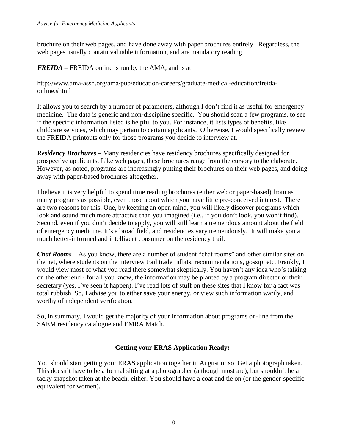brochure on their web pages, and have done away with paper brochures entirely. Regardless, the web pages usually contain valuable information, and are mandatory reading.

*FREIDA* – FREIDA online is run by the AMA, and is at

http://www.ama-assn.org/ama/pub/education-careers/graduate-medical-education/freidaonline.shtml

It allows you to search by a number of parameters, although I don't find it as useful for emergency medicine. The data is generic and non-discipline specific. You should scan a few programs, to see if the specific information listed is helpful to you. For instance, it lists types of benefits, like childcare services, which may pertain to certain applicants. Otherwise, I would specifically review the FREIDA printouts only for those programs you decide to interview at.

*Residency Brochures* – Many residencies have residency brochures specifically designed for prospective applicants. Like web pages, these brochures range from the cursory to the elaborate. However, as noted, programs are increasingly putting their brochures on their web pages, and doing away with paper-based brochures altogether.

I believe it is very helpful to spend time reading brochures (either web or paper-based) from as many programs as possible, even those about which you have little pre-conceived interest. There are two reasons for this. One, by keeping an open mind, you will likely discover programs which look and sound much more attractive than you imagined (i.e., if you don't look, you won't find). Second, even if you don't decide to apply, you will still learn a tremendous amount about the field of emergency medicine. It's a broad field, and residencies vary tremendously. It will make you a much better-informed and intelligent consumer on the residency trail.

*Chat Rooms* – As you know, there are a number of student "chat rooms" and other similar sites on the net, where students on the interview trail trade tidbits, recommendations, gossip, etc. Frankly, I would view most of what you read there somewhat skeptically. You haven't any idea who's talking on the other end - for all you know, the information may be planted by a program director or their secretary (yes, I've seen it happen). I've read lots of stuff on these sites that I know for a fact was total rubbish. So, I advise you to either save your energy, or view such information warily, and worthy of independent verification.

So, in summary, I would get the majority of your information about programs on-line from the SAEM residency catalogue and EMRA Match.

## **Getting your ERAS Application Ready:**

You should start getting your ERAS application together in August or so. Get a photograph taken. This doesn't have to be a formal sitting at a photographer (although most are), but shouldn't be a tacky snapshot taken at the beach, either. You should have a coat and tie on (or the gender-specific equivalent for women).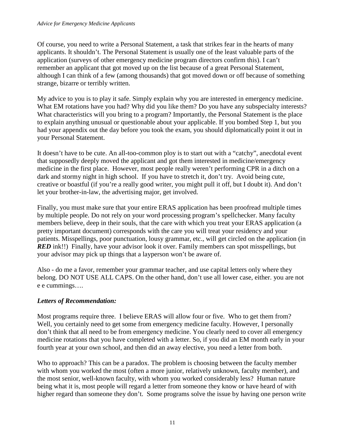Of course, you need to write a Personal Statement, a task that strikes fear in the hearts of many applicants. It shouldn't. The Personal Statement is usually one of the least valuable parts of the application (surveys of other emergency medicine program directors confirm this). I can't remember an applicant that got moved up on the list because of a great Personal Statement, although I can think of a few (among thousands) that got moved down or off because of something strange, bizarre or terribly written.

My advice to you is to play it safe. Simply explain why you are interested in emergency medicine. What EM rotations have you had? Why did you like them? Do you have any subspecialty interests? What characteristics will you bring to a program? Importantly, the Personal Statement is the place to explain anything unusual or questionable about your applicable. If you bombed Step 1, but you had your appendix out the day before you took the exam, you should diplomatically point it out in your Personal Statement.

It doesn't have to be cute. An all-too-common ploy is to start out with a "catchy", anecdotal event that supposedly deeply moved the applicant and got them interested in medicine/emergency medicine in the first place. However, most people really weren't performing CPR in a ditch on a dark and stormy night in high school. If you have to stretch it, don't try. Avoid being cute, creative or boastful (if you're a really good writer, you might pull it off, but I doubt it). And don't let your brother-in-law, the advertising major, get involved.

Finally, you must make sure that your entire ERAS application has been proofread multiple times by multiple people. Do not rely on your word processing program's spellchecker. Many faculty members believe, deep in their souls, that the care with which you treat your ERAS application (a pretty important document) corresponds with the care you will treat your residency and your patients. Misspellings, poor punctuation, lousy grammar, etc., will get circled on the application (in *RED* ink!!) Finally, have your advisor look it over. Family members can spot misspellings, but your advisor may pick up things that a layperson won't be aware of.

Also - do me a favor, remember your grammar teacher, and use capital letters only where they belong. DO NOT USE ALL CAPS. On the other hand, don't use all lower case, either. you are not e e cummings….

# *Letters of Recommendation:*

Most programs require three. I believe ERAS will allow four or five. Who to get them from? Well, you certainly need to get some from emergency medicine faculty. However, I personally don't think that all need to be from emergency medicine. You clearly need to cover all emergency medicine rotations that you have completed with a letter. So, if you did an EM month early in your fourth year at your own school, and then did an away elective, you need a letter from both.

Who to approach? This can be a paradox. The problem is choosing between the faculty member with whom you worked the most (often a more junior, relatively unknown, faculty member), and the most senior, well-known faculty, with whom you worked considerably less? Human nature being what it is, most people will regard a letter from someone they know or have heard of with higher regard than someone they don't. Some programs solve the issue by having one person write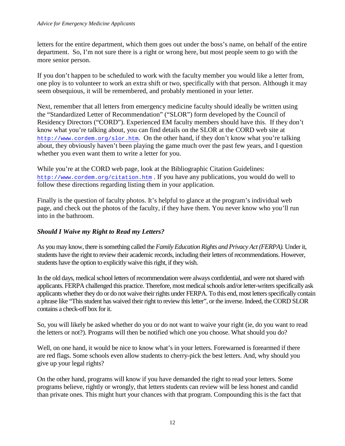letters for the entire department, which them goes out under the boss's name, on behalf of the entire department. So, I'm not sure there is a right or wrong here, but most people seem to go with the more senior person.

If you don't happen to be scheduled to work with the faculty member you would like a letter from, one ploy is to volunteer to work an extra shift or two, specifically with that person. Although it may seem obsequious, it will be remembered, and probably mentioned in your letter.

Next, remember that all letters from emergency medicine faculty should ideally be written using the "Standardized Letter of Recommendation" ("SLOR") form developed by the Council of Residency Directors ("CORD"). Experienced EM faculty members should have this. If they don't know what you're talking about, you can find details on the SLOR at the CORD web site at <http://www.cordem.org/slor.htm>. On the other hand, if they don't know what you're talking about, they obviously haven't been playing the game much over the past few years, and I question whether you even want them to write a letter for you.

While you're at the CORD web page, look at the Bibliographic Citation Guidelines: <http://www.cordem.org/citation.htm> . If you have any publications, you would do well to follow these directions regarding listing them in your application.

Finally is the question of faculty photos. It's helpful to glance at the program's individual web page, and check out the photos of the faculty, if they have them. You never know who you'll run into in the bathroom.

## *Should I Waive my Right to Read my Letters?*

As you may know, there is something called the *Family Education Rights and Privacy Act (FERPA).* Under it, students have the right to review their academic records, including their letters of recommendations. However, students have the option to explicitly waive this right, if they wish.

In the old days, medical school letters of recommendation were always confidential, and were not shared with applicants. FERPA challenged this practice. Therefore, most medical schools and/or letter-writers specifically ask applicants whether they do or do not waive their rights under FERPA. To this end, most letters specifically contain a phrase like "This student has waived their right to review this letter", or the inverse. Indeed, the CORD SLOR contains a check-off box for it.

So, you will likely be asked whether do you or do not want to waive your right (ie, do you want to read the letters or not?). Programs will then be notified which one you choose. What should you do?

Well, on one hand, it would be nice to know what's in your letters. Forewarned is forearmed if there are red flags. Some schools even allow students to cherry-pick the best letters. And, why should you give up your legal rights?

On the other hand, programs will know if you have demanded the right to read your letters. Some programs believe, rightly or wrongly, that letters students can review will be less honest and candid than private ones. This might hurt your chances with that program. Compounding this is the fact that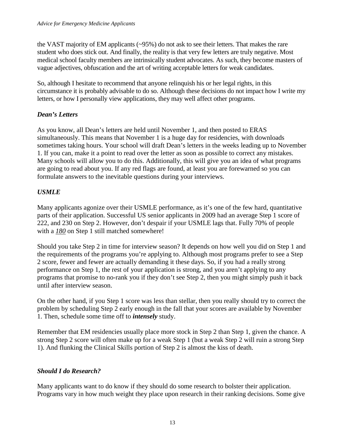the VAST majority of EM applicants (~95%) do not ask to see their letters. That makes the rare student who does stick out. And finally, the reality is that very few letters are truly negative. Most medical school faculty members are intrinsically student advocates. As such, they become masters of vague adjectives, obfuscation and the art of writing acceptable letters for weak candidates.

So, although I hesitate to recommend that anyone relinquish his or her legal rights, in this circumstance it is probably advisable to do so. Although these decisions do not impact how I write my letters, or how I personally view applications, they may well affect other programs.

## *Dean's Letters*

As you know, all Dean's letters are held until November 1, and then posted to ERAS simultaneously. This means that November 1 is a huge day for residencies, with downloads sometimes taking hours. Your school will draft Dean's letters in the weeks leading up to November 1. If you can, make it a point to read over the letter as soon as possible to correct any mistakes. Many schools will allow you to do this. Additionally, this will give you an idea of what programs are going to read about you. If any red flags are found, at least you are forewarned so you can formulate answers to the inevitable questions during your interviews.

# *USMLE*

Many applicants agonize over their USMLE performance, as it's one of the few hard, quantitative parts of their application. Successful US senior applicants in 2009 had an average Step 1 score of 222, and 230 on Step 2. However, don't despair if your USMLE lags that. Fully 70% of people with a  $180$  on Step 1 still matched somewhere!

Should you take Step 2 in time for interview season? It depends on how well you did on Step 1 and the requirements of the programs you're applying to. Although most programs prefer to see a Step 2 score, fewer and fewer are actually demanding it these days. So, if you had a really strong performance on Step 1, the rest of your application is strong, and you aren't applying to any programs that promise to no-rank you if they don't see Step 2, then you might simply push it back until after interview season.

On the other hand, if you Step 1 score was less than stellar, then you really should try to correct the problem by scheduling Step 2 early enough in the fall that your scores are available by November 1. Then, schedule some time off to *intensely* study.

Remember that EM residencies usually place more stock in Step 2 than Step 1, given the chance. A strong Step 2 score will often make up for a weak Step 1 (but a weak Step 2 will ruin a strong Step 1). And flunking the Clinical Skills portion of Step 2 is almost the kiss of death.

## *Should I do Research?*

Many applicants want to do know if they should do some research to bolster their application. Programs vary in how much weight they place upon research in their ranking decisions. Some give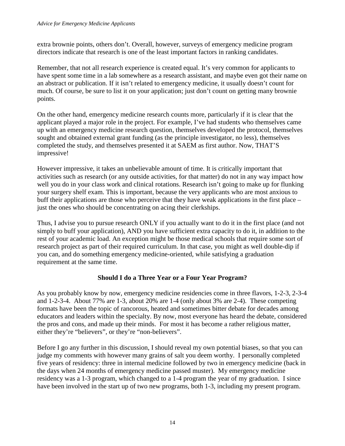extra brownie points, others don't. Overall, however, surveys of emergency medicine program directors indicate that research is one of the least important factors in ranking candidates.

Remember, that not all research experience is created equal. It's very common for applicants to have spent some time in a lab somewhere as a research assistant, and maybe even got their name on an abstract or publication. If it isn't related to emergency medicine, it usually doesn't count for much. Of course, be sure to list it on your application; just don't count on getting many brownie points.

On the other hand, emergency medicine research counts more, particularly if it is clear that the applicant played a major role in the project. For example, I've had students who themselves came up with an emergency medicine research question, themselves developed the protocol, themselves sought and obtained external grant funding (as the principle investigator, no less), themselves completed the study, and themselves presented it at SAEM as first author. Now, THAT'S impressive!

However impressive, it takes an unbelievable amount of time. It is critically important that activities such as research (or any outside activities, for that matter) do not in any way impact how well you do in your class work and clinical rotations. Research isn't going to make up for flunking your surgery shelf exam. This is important, because the very applicants who are most anxious to buff their applications are those who perceive that they have weak applications in the first place – just the ones who should be concentrating on acing their clerkships.

Thus, I advise you to pursue research ONLY if you actually want to do it in the first place (and not simply to buff your application), AND you have sufficient extra capacity to do it, in addition to the rest of your academic load. An exception might be those medical schools that require some sort of research project as part of their required curriculum. In that case, you might as well double-dip if you can, and do something emergency medicine-oriented, while satisfying a graduation requirement at the same time.

## **Should I do a Three Year or a Four Year Program?**

As you probably know by now, emergency medicine residencies come in three flavors, 1-2-3, 2-3-4 and 1-2-3-4. About 77% are 1-3, about 20% are 1-4 (only about 3% are 2-4). These competing formats have been the topic of rancorous, heated and sometimes bitter debate for decades among educators and leaders within the specialty. By now, most everyone has heard the debate, considered the pros and cons, and made up their minds. For most it has become a rather religious matter, either they're "believers", or they're "non-believers".

Before I go any further in this discussion, I should reveal my own potential biases, so that you can judge my comments with however many grains of salt you deem worthy. I personally completed five years of residency: three in internal medicine followed by two in emergency medicine (back in the days when 24 months of emergency medicine passed muster). My emergency medicine residency was a 1-3 program, which changed to a 1-4 program the year of my graduation. I since have been involved in the start up of two new programs, both 1-3, including my present program.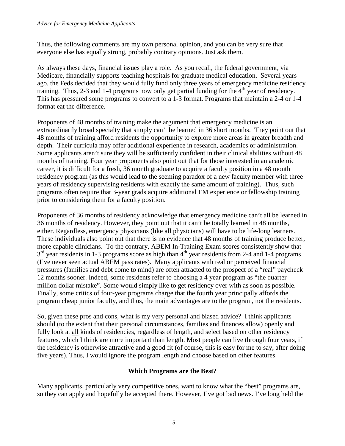Thus, the following comments are my own personal opinion, and you can be very sure that everyone else has equally strong, probably contrary opinions. Just ask them.

As always these days, financial issues play a role. As you recall, the federal government, via Medicare, financially supports teaching hospitals for graduate medical education. Several years ago, the Feds decided that they would fully fund only three years of emergency medicine residency training. Thus, 2-3 and 1-4 programs now only get partial funding for the  $4<sup>th</sup>$  year of residency. This has pressured some programs to convert to a 1-3 format. Programs that maintain a 2-4 or 1-4 format eat the difference.

Proponents of 48 months of training make the argument that emergency medicine is an extraordinarily broad specialty that simply can't be learned in 36 short months. They point out that 48 months of training afford residents the opportunity to explore more areas in greater breadth and depth. Their curricula may offer additional experience in research, academics or administration. Some applicants aren't sure they will be sufficiently confident in their clinical abilities without 48 months of training. Four year proponents also point out that for those interested in an academic career, it is difficult for a fresh, 36 month graduate to acquire a faculty position in a 48 month residency program (as this would lead to the seeming paradox of a new faculty member with three years of residency supervising residents with exactly the same amount of training). Thus, such programs often require that 3-year grads acquire additional EM experience or fellowship training prior to considering them for a faculty position.

Proponents of 36 months of residency acknowledge that emergency medicine can't all be learned in 36 months of residency. However, they point out that it can't be totally learned in 48 months, either. Regardless, emergency physicians (like all physicians) will have to be life-long learners. These individuals also point out that there is no evidence that 48 months of training produce better, more capable clinicians. To the contrary, ABEM In-Training Exam scores consistently show that  $3<sup>rd</sup>$  year residents in 1-3 programs score as high than  $4<sup>th</sup>$  year residents from 2-4 and 1-4 programs (I've never seen actual ABEM pass rates). Many applicants with real or perceived financial pressures (families and debt come to mind) are often attracted to the prospect of a "real" paycheck 12 months sooner. Indeed, some residents refer to choosing a 4 year program as "the quarter million dollar mistake". Some would simply like to get residency over with as soon as possible. Finally, some critics of four-year programs charge that the fourth year principally affords the program cheap junior faculty, and thus, the main advantages are to the program, not the residents.

So, given these pros and cons, what is my very personal and biased advice? I think applicants should (to the extent that their personal circumstances, families and finances allow) openly and fully look at all kinds of residencies, regardless of length, and select based on other residency features, which I think are more important than length. Most people can live through four years, if the residency is otherwise attractive and a good fit (of course, this is easy for me to say, after doing five years). Thus, I would ignore the program length and choose based on other features.

## **Which Programs are the Best?**

Many applicants, particularly very competitive ones, want to know what the "best" programs are, so they can apply and hopefully be accepted there. However, I've got bad news. I've long held the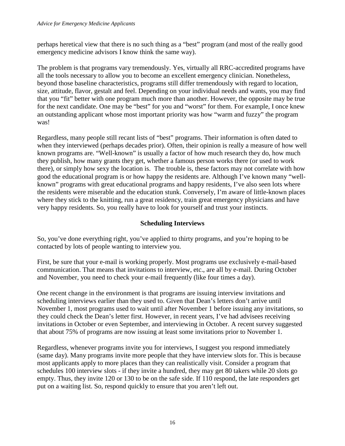perhaps heretical view that there is no such thing as a "best" program (and most of the really good emergency medicine advisors I know think the same way).

The problem is that programs vary tremendously. Yes, virtually all RRC-accredited programs have all the tools necessary to allow you to become an excellent emergency clinician. Nonetheless, beyond those baseline characteristics, programs still differ tremendously with regard to location, size, attitude, flavor, gestalt and feel. Depending on your individual needs and wants, you may find that you "fit" better with one program much more than another. However, the opposite may be true for the next candidate. One may be "best" for you and "worst" for them. For example, I once knew an outstanding applicant whose most important priority was how "warm and fuzzy" the program was!

Regardless, many people still recant lists of "best" programs. Their information is often dated to when they interviewed (perhaps decades prior). Often, their opinion is really a measure of how well known programs are. "Well-known" is usually a factor of how much research they do, how much they publish, how many grants they get, whether a famous person works there (or used to work there), or simply how sexy the location is. The trouble is, these factors may not correlate with how good the educational program is or how happy the residents are. Although I've known many "wellknown" programs with great educational programs and happy residents, I've also seen lots where the residents were miserable and the education stunk. Conversely, I'm aware of little-known places where they stick to the knitting, run a great residency, train great emergency physicians and have very happy residents. So, you really have to look for yourself and trust your instincts.

## **Scheduling Interviews**

So, you've done everything right, you've applied to thirty programs, and you're hoping to be contacted by lots of people wanting to interview you.

First, be sure that your e-mail is working properly. Most programs use exclusively e-mail-based communication. That means that invitations to interview, etc., are all by e-mail. During October and November, you need to check your e-mail frequently (like four times a day).

One recent change in the environment is that programs are issuing interview invitations and scheduling interviews earlier than they used to. Given that Dean's letters don't arrive until November 1, most programs used to wait until after November 1 before issuing any invitations, so they could check the Dean's letter first. However, in recent years, I've had advisees receiving invitations in October or even September, and interviewing in October. A recent survey suggested that about 75% of programs are now issuing at least some invitations prior to November 1.

Regardless, whenever programs invite you for interviews, I suggest you respond immediately (same day). Many programs invite more people that they have interview slots for. This is because most applicants apply to more places than they can realistically visit. Consider a program that schedules 100 interview slots - if they invite a hundred, they may get 80 takers while 20 slots go empty. Thus, they invite 120 or 130 to be on the safe side. If 110 respond, the late responders get put on a waiting list. So, respond quickly to ensure that you aren't left out.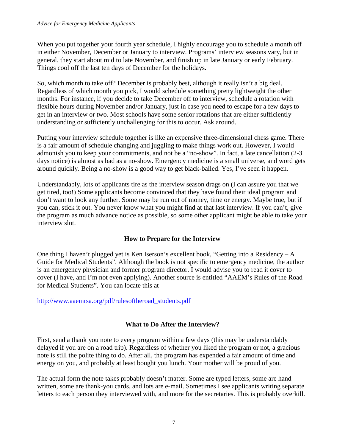When you put together your fourth year schedule, I highly encourage you to schedule a month off in either November, December or January to interview. Programs' interview seasons vary, but in general, they start about mid to late November, and finish up in late January or early February. Things cool off the last ten days of December for the holidays.

So, which month to take off? December is probably best, although it really isn't a big deal. Regardless of which month you pick, I would schedule something pretty lightweight the other months. For instance, if you decide to take December off to interview, schedule a rotation with flexible hours during November and/or January, just in case you need to escape for a few days to get in an interview or two. Most schools have some senior rotations that are either sufficiently understanding or sufficiently unchallenging for this to occur. Ask around.

Putting your interview schedule together is like an expensive three-dimensional chess game. There is a fair amount of schedule changing and juggling to make things work out. However, I would admonish you to keep your commitments, and not be a "no-show". In fact, a late cancellation (2-3 days notice) is almost as bad as a no-show. Emergency medicine is a small universe, and word gets around quickly. Being a no-show is a good way to get black-balled. Yes, I've seen it happen.

Understandably, lots of applicants tire as the interview season drags on (I can assure you that we get tired, too!) Some applicants become convinced that they have found their ideal program and don't want to look any further. Some may be run out of money, time or energy. Maybe true, but if you can, stick it out. You never know what you might find at that last interview. If you can't, give the program as much advance notice as possible, so some other applicant might be able to take your interview slot.

## **How to Prepare for the Interview**

One thing I haven't plugged yet is Ken Iserson's excellent book, "Getting into a Residency – A Guide for Medical Students". Although the book is not specific to emergency medicine, the author is an emergency physician and former program director. I would advise you to read it cover to cover (I have, and I'm not even applying). Another source is entitled "AAEM's Rules of the Road for Medical Students". You can locate this at

#### [http://www.aaemrsa.org/pdf/rulesoftheroad\\_students.pdf](http://www.aaemrsa.org/pdf/rulesoftheroad_students.pdf)

## **What to Do After the Interview?**

First, send a thank you note to every program within a few days (this may be understandably delayed if you are on a road trip). Regardless of whether you liked the program or not, a gracious note is still the polite thing to do. After all, the program has expended a fair amount of time and energy on you, and probably at least bought you lunch. Your mother will be proud of you.

The actual form the note takes probably doesn't matter. Some are typed letters, some are hand written, some are thank-you cards, and lots are e-mail. Sometimes I see applicants writing separate letters to each person they interviewed with, and more for the secretaries. This is probably overkill.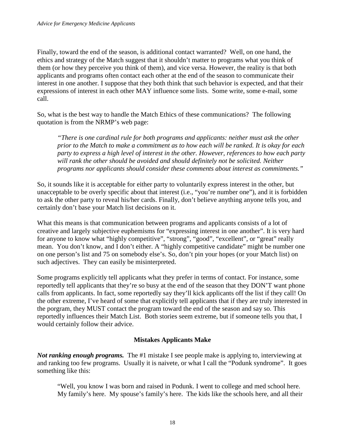Finally, toward the end of the season, is additional contact warranted? Well, on one hand, the ethics and strategy of the Match suggest that it shouldn't matter to programs what you think of them (or how they perceive you think of them), and vice versa. However, the reality is that both applicants and programs often contact each other at the end of the season to communicate their interest in one another. I suppose that they both think that such behavior is expected, and that their expressions of interest in each other MAY influence some lists. Some write, some e-mail, some call.

So, what is the best way to handle the Match Ethics of these communications? The following quotation is from the NRMP's web page:

*"There is one cardinal rule for both programs and applicants: neither must ask the other prior to the Match to make a commitment as to how each will be ranked. It is okay for each party to express a high level of interest in the other. However, references to how each party will rank the other should be avoided and should definitely not be solicited. Neither programs nor applicants should consider these comments about interest as commitments."*

So, it sounds like it is acceptable for either party to voluntarily express interest in the other, but unacceptable to be overly specific about that interest (i.e., "you're number one"), and it is forbidden to ask the other party to reveal his/her cards. Finally, don't believe anything anyone tells you, and certainly don't base your Match list decisions on it.

What this means is that communication between programs and applicants consists of a lot of creative and largely subjective euphemisms for "expressing interest in one another". It is very hard for anyone to know what "highly competitive", "strong", "good", "excellent", or "great" really mean. You don't know, and I don't either. A "highly competitive candidate" might be number one on one person's list and 75 on somebody else's. So, don't pin your hopes (or your Match list) on such adjectives. They can easily be misinterpreted.

Some programs explicitly tell applicants what they prefer in terms of contact. For instance, some reportedly tell applicants that they're so busy at the end of the season that they DON'T want phone calls from applicants. In fact, some reportedly say they'll kick applicants off the list if they call! On the other extreme, I've heard of some that explicitly tell applicants that if they are truly interested in the porgram, they MUST contact the program toward the end of the season and say so. This reportedly influences their Match List. Both stories seem extreme, but if someone tells you that, I would certainly follow their advice.

## **Mistakes Applicants Make**

*Not ranking enough programs.* The #1 mistake I see people make is applying to, interviewing at and ranking too few programs. Usually it is naivete, or what I call the "Podunk syndrome". It goes something like this:

"Well, you know I was born and raised in Podunk. I went to college and med school here. My family's here. My spouse's family's here. The kids like the schools here, and all their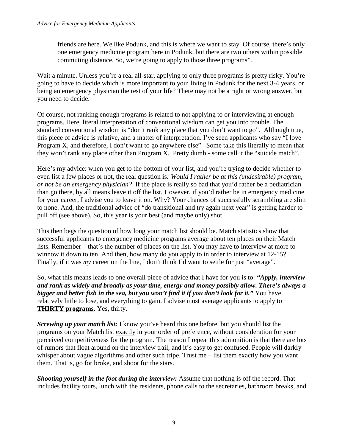friends are here. We like Podunk, and this is where we want to stay. Of course, there's only one emergency medicine program here in Podunk, but there are two others within possible commuting distance. So, we're going to apply to those three programs".

Wait a minute. Unless you're a real all-star, applying to only three programs is pretty risky. You're going to have to decide which is more important to you: living in Podunk for the next 3-4 years, or being an emergency physician the rest of your life? There may not be a right or wrong answer, but you need to decide.

Of course, not ranking enough programs is related to not applying to or interviewing at enough programs. Here, literal interpretation of conventional wisdom can get you into trouble. The standard conventional wisdom is "don't rank any place that you don't want to go". Although true, this piece of advice is relative, and a matter of interpretation. I've seen applicants who say "I love Program X, and therefore, I don't want to go anywhere else". Some take this literally to mean that they won't rank any place other than Program X. Pretty dumb - some call it the "suicide match".

Here's my advice: when you get to the bottom of your list, and you're trying to decide whether to even list a few places or not, the real question is*: Would I rather be at this (undesirable) program, or not be an emergency physician?* If the place is really so bad that you'd rather be a pediatrician than go there, by all means leave it off the list. However, if you'd rather be in emergency medicine for your career, I advise you to leave it on. Why? Your chances of successfully scrambling are slim to none. And, the traditional advice of "do transitional and try again next year" is getting harder to pull off (see above). So, this year is your best (and maybe only) shot.

This then begs the question of how long your match list should be. Match statistics show that successful applicants to emergency medicine programs average about ten places on their Match lists. Remember – that's the number of places on the list. You may have to interview at more to winnow it down to ten. And then, how many do you apply to in order to interview at 12-15? Finally, if it was *my* career on the line, I don't think I'd want to settle for just "average".

So, what this means leads to one overall piece of advice that I have for you is to: *"Apply, interview and rank as widely and broadly as your time, energy and money possibly allow. There's always a bigger and better fish in the sea, but you won't find it if you don't look for it.*" You have relatively little to lose, and everything to gain. I advise most average applicants to apply to **THIRTY programs**. Yes, thirty.

*Screwing up your match list:* I know you've heard this one before, but you should list the programs on your Match list exactly in your order of preference, without consideration for your perceived competitiveness for the program. The reason I repeat this admonition is that there are lots of rumors that float around on the interview trail, and it's easy to get confused. People will darkly whisper about vague algorithms and other such tripe. Trust me – list them exactly how you want them. That is, go for broke, and shoot for the stars.

*Shooting yourself in the foot during the interview:* Assume that nothing is off the record. That includes facility tours, lunch with the residents, phone calls to the secretaries, bathroom breaks, and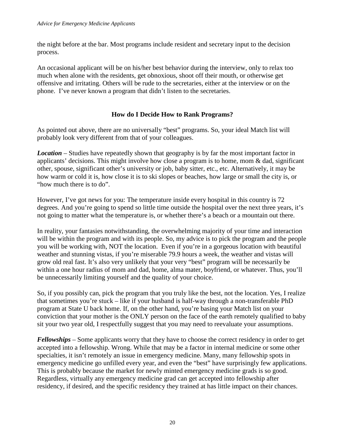the night before at the bar. Most programs include resident and secretary input to the decision process.

An occasional applicant will be on his/her best behavior during the interview, only to relax too much when alone with the residents, get obnoxious, shoot off their mouth, or otherwise get offensive and irritating. Others will be rude to the secretaries, either at the interview or on the phone. I've never known a program that didn't listen to the secretaries.

## **How do I Decide How to Rank Programs?**

As pointed out above, there are no universally "best" programs. So, your ideal Match list will probably look very different from that of your colleagues.

*Location* – Studies have repeatedly shown that geography is by far the most important factor in applicants' decisions. This might involve how close a program is to home, mom & dad, significant other, spouse, significant other's university or job, baby sitter, etc., etc. Alternatively, it may be how warm or cold it is, how close it is to ski slopes or beaches, how large or small the city is, or "how much there is to do".

However, I've got news for you: The temperature inside every hospital in this country is 72 degrees. And you're going to spend so little time outside the hospital over the next three years, it's not going to matter what the temperature is, or whether there's a beach or a mountain out there.

In reality, your fantasies notwithstanding, the overwhelming majority of your time and interaction will be within the program and with its people. So, my advice is to pick the program and the people you will be working with, NOT the location. Even if you're in a gorgeous location with beautiful weather and stunning vistas, if you're miserable 79.9 hours a week, the weather and vistas will grow old real fast. It's also very unlikely that your very "best" program will be necessarily be within a one hour radius of mom and dad, home, alma mater, boyfriend, or whatever. Thus, you'll be unnecessarily limiting yourself and the quality of your choice.

So, if you possibly can, pick the program that you truly like the best, not the location. Yes, I realize that sometimes you're stuck – like if your husband is half-way through a non-transferable PhD program at State U back home. If, on the other hand, you're basing your Match list on your conviction that your mother is the ONLY person on the face of the earth remotely qualified to baby sit your two year old, I respectfully suggest that you may need to reevaluate your assumptions.

*Fellowships* – Some applicants worry that they have to choose the correct residency in order to get accepted into a fellowship. Wrong. While that may be a factor in internal medicine or some other specialties, it isn't remotely an issue in emergency medicine. Many, many fellowship spots in emergency medicine go unfilled every year, and even the "best" have surprisingly few applications. This is probably because the market for newly minted emergency medicine grads is so good. Regardless, virtually any emergency medicine grad can get accepted into fellowship after residency, if desired, and the specific residency they trained at has little impact on their chances.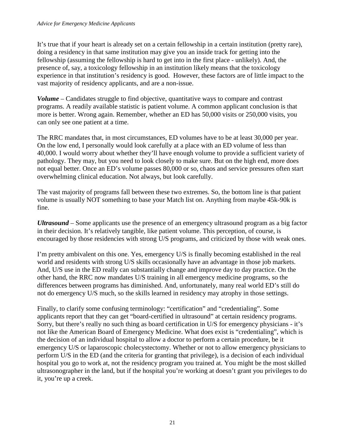It's true that if your heart is already set on a certain fellowship in a certain institution (pretty rare), doing a residency in that same institution may give you an inside track for getting into the fellowship (assuming the fellowship is hard to get into in the first place - unlikely). And, the presence of, say, a toxicology fellowship in an institution likely means that the toxicology experience in that institution's residency is good. However, these factors are of little impact to the vast majority of residency applicants, and are a non-issue.

*Volume* – Candidates struggle to find objective, quantitative ways to compare and contrast programs. A readily available statistic is patient volume. A common applicant conclusion is that more is better. Wrong again. Remember, whether an ED has 50,000 visits or 250,000 visits, you can only see one patient at a time.

The RRC mandates that, in most circumstances, ED volumes have to be at least 30,000 per year. On the low end, I personally would look carefully at a place with an ED volume of less than 40,000. I would worry about whether they'll have enough volume to provide a sufficient variety of pathology. They may, but you need to look closely to make sure. But on the high end, more does not equal better. Once an ED's volume passes 80,000 or so, chaos and service pressures often start overwhelming clinical education. Not always, but look carefully.

The vast majority of programs fall between these two extremes. So, the bottom line is that patient volume is usually NOT something to base your Match list on. Anything from maybe 45k-90k is fine.

*Ultrasound* – Some applicants use the presence of an emergency ultrasound program as a big factor in their decision. It's relatively tangible, like patient volume. This perception, of course, is encouraged by those residencies with strong U/S programs, and criticized by those with weak ones.

I'm pretty ambivalent on this one. Yes, emergency U/S is finally becoming established in the real world and residents with strong U/S skills occasionally have an advantage in those job markets. And, U/S use in the ED really can substantially change and improve day to day practice. On the other hand, the RRC now mandates U/S training in all emergency medicine programs, so the differences between programs has diminished. And, unfortunately, many real world ED's still do not do emergency U/S much, so the skills learned in residency may atrophy in those settings.

Finally, to clarify some confusing terminology: "certification" and "credentialing". Some applicants report that they can get "board-certified in ultrasound" at certain residency programs. Sorry, but there's really no such thing as board certification in U/S for emergency physicians - it's not like the American Board of Emergency Medicine. What does exist is "credentialing", which is the decision of an individual hospital to allow a doctor to perform a certain procedure, be it emergency U/S or laparoscopic cholecystectomy. Whether or not to allow emergency physicians to perform U/S in the ED (and the criteria for granting that privilege), is a decision of each individual hospital you go to work at, not the residency program you trained at. You might be the most skilled ultrasonographer in the land, but if the hospital you're working at doesn't grant you privileges to do it, you're up a creek.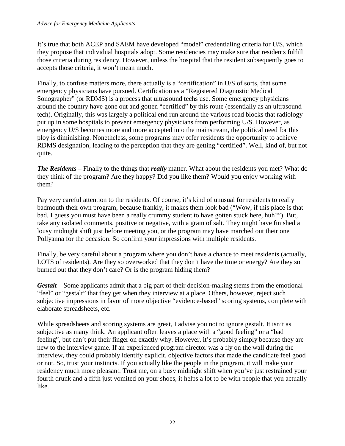#### *Advice for Emergency Medicine Applicants*

It's true that both ACEP and SAEM have developed "model" credentialing criteria for U/S, which they propose that individual hospitals adopt. Some residencies may make sure that residents fulfill those criteria during residency. However, unless the hospital that the resident subsequently goes to accepts those criteria, it won't mean much.

Finally, to confuse matters more, there actually is a "certification" in U/S of sorts, that some emergency physicians have pursued. Certification as a "Registered Diagnostic Medical Sonographer" (or RDMS) is a process that ultrasound techs use. Some emergency physicians around the country have gone out and gotten "certified" by this route (essentially as an ultrasound tech). Originally, this was largely a political end run around the various road blocks that radiology put up in some hospitals to prevent emergency physicians from performing U/S. However, as emergency U/S becomes more and more accepted into the mainstream, the political need for this ploy is diminishing. Nonetheless, some programs may offer residents the opportunity to achieve RDMS designation, leading to the perception that they are getting "certified". Well, kind of, but not quite.

*The Residents* – Finally to the things that *really* matter. What about the residents you met? What do they think of the program? Are they happy? Did you like them? Would you enjoy working with them?

Pay very careful attention to the residents. Of course, it's kind of unusual for residents to really badmouth their own program, because frankly, it makes them look bad ("Wow, if this place is that bad, I guess you must have been a really crummy student to have gotten stuck here, huh?"). But, take any isolated comments, positive or negative, with a grain of salt. They might have finished a lousy midnight shift just before meeting you, or the program may have marched out their one Pollyanna for the occasion. So confirm your impressions with multiple residents.

Finally, be very careful about a program where you don't have a chance to meet residents (actually, LOTS of residents). Are they so overworked that they don't have the time or energy? Are they so burned out that they don't care? Or is the program hiding them?

*Gestalt* – Some applicants admit that a big part of their decision-making stems from the emotional "feel" or "gestalt" that they get when they interview at a place. Others, however, reject such subjective impressions in favor of more objective "evidence-based" scoring systems, complete with elaborate spreadsheets, etc.

While spreadsheets and scoring systems are great, I advise you not to ignore gestalt. It isn't as subjective as many think. An applicant often leaves a place with a "good feeling" or a "bad feeling", but can't put their finger on exactly why. However, it's probably simply because they are new to the interview game. If an experienced program director was a fly on the wall during the interview, they could probably identify explicit, objective factors that made the candidate feel good or not. So, trust your instincts. If you actually like the people in the program, it will make your residency much more pleasant. Trust me, on a busy midnight shift when you've just restrained your fourth drunk and a fifth just vomited on your shoes, it helps a lot to be with people that you actually like.